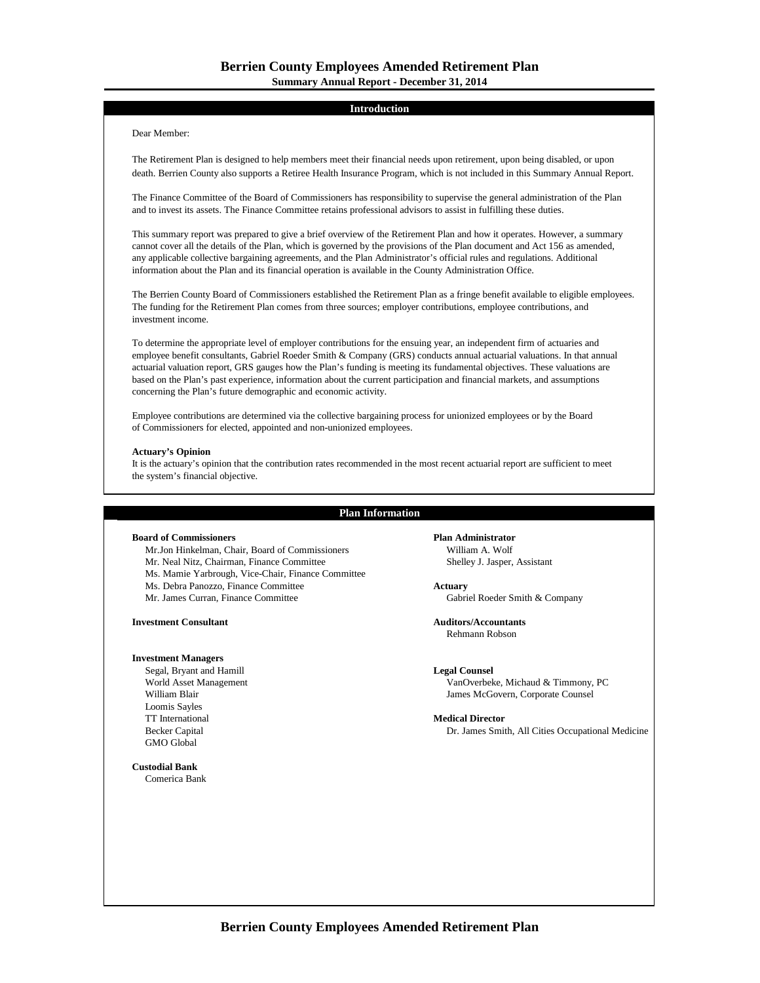# **Introduction**

# Dear Member:

The Retirement Plan is designed to help members meet their financial needs upon retirement, upon being disabled, or upon death. Berrien County also supports a Retiree Health Insurance Program, which is not included in this Summary Annual Report.

The Finance Committee of the Board of Commissioners has responsibility to supervise the general administration of the Plan and to invest its assets. The Finance Committee retains professional advisors to assist in fulfilling these duties.

This summary report was prepared to give a brief overview of the Retirement Plan and how it operates. However, a summary cannot cover all the details of the Plan, which is governed by the provisions of the Plan document and Act 156 as amended, any applicable collective bargaining agreements, and the Plan Administrator's official rules and regulations. Additional information about the Plan and its financial operation is available in the County Administration Office.

The Berrien County Board of Commissioners established the Retirement Plan as a fringe benefit available to eligible employees. The funding for the Retirement Plan comes from three sources; employer contributions, employee contributions, and investment income.

To determine the appropriate level of employer contributions for the ensuing year, an independent firm of actuaries and employee benefit consultants, Gabriel Roeder Smith & Company (GRS) conducts annual actuarial valuations. In that annual actuarial valuation report, GRS gauges how the Plan's funding is meeting its fundamental objectives. These valuations are based on the Plan's past experience, information about the current participation and financial markets, and assumptions concerning the Plan's future demographic and economic activity.

Employee contributions are determined via the collective bargaining process for unionized employees or by the Board of Commissioners for elected, appointed and non-unionized employees.

# **Actuary's Opinion**

It is the actuary's opinion that the contribution rates recommended in the most recent actuarial report are sufficient to meet the system's financial objective.

# **Plan Information**

# **Board of Commissioners Plan Administrator**

Mr.Jon Hinkelman, Chair, Board of Commissioners William A. Wolf Mr. Neal Nitz, Chairman, Finance Committee Shelley J. Jasper, Assistant Ms. Mamie Yarbrough, Vice-Chair, Finance Committee Ms. Debra Panozzo, Finance Committee **Actuary** Mr. James Curran, Finance Committee Gabriel Roeder Smith & Company

**Investment Consultant Auditors/Accountants**

## **Investment Managers**

Segal, Bryant and Hamill **Legal Counsel** Loomis Sayles TT International **Medical Director**<br> **Medical Director**<br> **Medical Director**<br> **Dr.** James Smit GMO Global

**Custodial Bank**

Comerica Bank

Rehmann Robson

World Asset Management **VanOverbeke, Michaud & Timmony, PC**<br>William Blair James McGovern, Corporate Counsel James McGovern, Corporate Counsel

Dr. James Smith, All Cities Occupational Medicine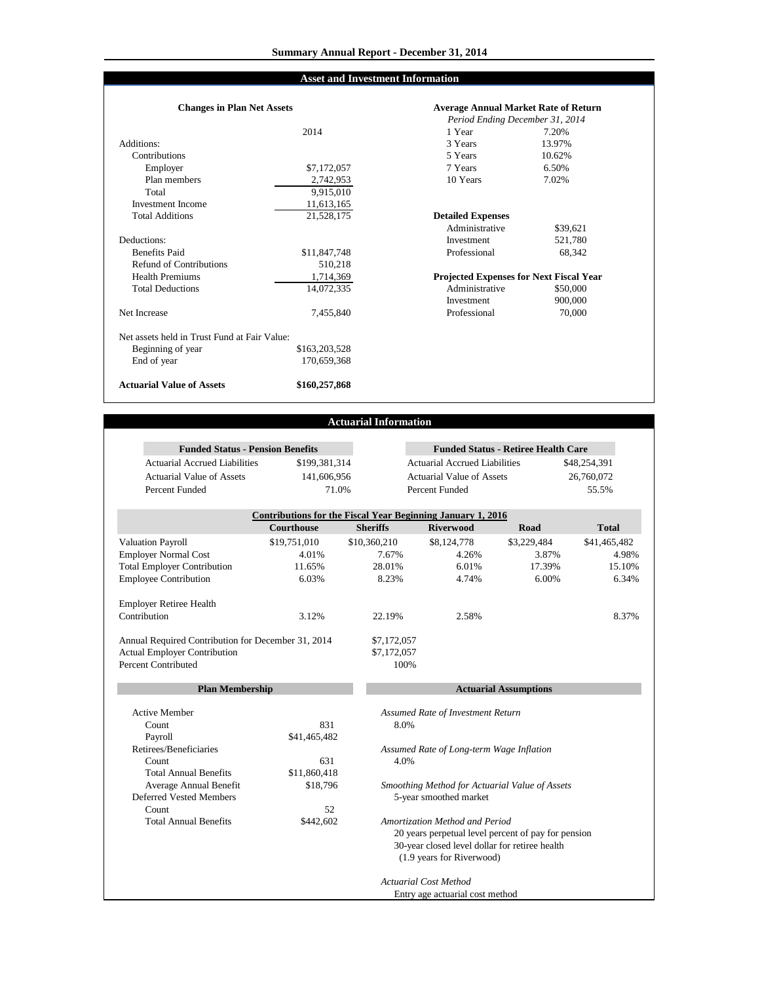# **Asset and Investment Information**

#### Additions: 3 Years Contributions<br>Employer Employer 6.50% 6.50% 6.50% 6.50% 6.50% 6.50% 6.50% 6.50% Plan members Total Investment Income **Total Additions** Deductions:<br>Benefits Paid Benefits Paid 68,342 68,342 **S** 11,847,748 Professional 68,342 Refund of Contributions **Health Premiums** Total Deductions Net Increase Net assets held in Trust Fund at Fair Value: Beginning of year End of year **Actuarial Value of Assets** \$163,203,528 170,659,368 **\$160,257,868** 1,714,369 14,072,335 7,455,840 510,218 2,742,953 9,915,010 11,613,165 21,528,175 **Changes in Plan Net Assets**

|              | <b>Average Annual Market Rate of Return</b>    |          |  |  |
|--------------|------------------------------------------------|----------|--|--|
|              | Period Ending December 31, 2014                |          |  |  |
| 2014         | 1 Year                                         | 7.20%    |  |  |
|              | 3 Years                                        | 13.97%   |  |  |
|              | 5 Years                                        | 10.62%   |  |  |
| \$7,172,057  | 7 Years                                        | 6.50%    |  |  |
| 2,742,953    | 10 Years                                       | 7.02%    |  |  |
| 9,915,010    |                                                |          |  |  |
| 11,613,165   |                                                |          |  |  |
| 21,528,175   | <b>Detailed Expenses</b>                       |          |  |  |
|              | Administrative                                 | \$39,621 |  |  |
|              | Investment                                     | 521,780  |  |  |
| \$11,847,748 | Professional                                   | 68,342   |  |  |
| 510,218      |                                                |          |  |  |
| 1,714,369    | <b>Projected Expenses for Next Fiscal Year</b> |          |  |  |
| 14,072,335   | Administrative                                 | \$50,000 |  |  |
|              | Investment                                     | 900,000  |  |  |
| 7,455,840    | Professional                                   | 70,000   |  |  |
|              |                                                |          |  |  |
| 163,203,528  |                                                |          |  |  |
| 170 650 368  |                                                |          |  |  |

# **Actuarial Information**

| <b>Funded Status - Pension Benefits</b>       |                   |                 |                                                                                 | <b>Funded Status - Retiree Health Care</b> |              |
|-----------------------------------------------|-------------------|-----------------|---------------------------------------------------------------------------------|--------------------------------------------|--------------|
| <b>Actuarial Accrued Liabilities</b>          | \$199,381,314     |                 | <b>Actuarial Accrued Liabilities</b>                                            |                                            | \$48,254,391 |
| <b>Actuarial Value of Assets</b>              | 141,606,956       |                 | <b>Actuarial Value of Assets</b>                                                |                                            | 26,760,072   |
| Percent Funded                                | 71.0%             |                 | Percent Funded                                                                  |                                            | 55.5%        |
|                                               |                   |                 |                                                                                 |                                            |              |
|                                               | <b>Courthouse</b> | <b>Sheriffs</b> | Contributions for the Fiscal Year Beginning January 1, 2016<br><b>Riverwood</b> | Road                                       | <b>Total</b> |
| <b>Valuation Payroll</b>                      | \$19,751,010      | \$10,360,210    | \$8,124,778                                                                     | \$3,229,484                                | \$41,465,482 |
| <b>Employer Normal Cost</b>                   | 4.01%             | 7.67%           | 4.26%                                                                           | 3.87%                                      | 4.98%        |
| <b>Total Employer Contribution</b>            | 11.65%            | 28.01%          | 6.01%                                                                           | 17.39%                                     | 15.10%       |
| <b>Employee Contribution</b>                  | 6.03%             | 8.23%           | 4.74%                                                                           | 6.00%                                      | 6.34%        |
|                                               |                   |                 |                                                                                 |                                            |              |
| <b>Employer Retiree Health</b>                |                   |                 |                                                                                 |                                            |              |
| Contribution                                  | 3.12%             | 22.19%          | 2.58%                                                                           |                                            | 8.37%        |
| Percent Contributed<br><b>Plan Membership</b> |                   | 100%            |                                                                                 | <b>Actuarial Assumptions</b>               |              |
|                                               |                   |                 |                                                                                 |                                            |              |
| <b>Active Member</b>                          |                   |                 | Assumed Rate of Investment Return                                               |                                            |              |
| Count                                         | 831               | 8.0%            |                                                                                 |                                            |              |
| Payroll                                       | \$41,465,482      |                 |                                                                                 |                                            |              |
| Retirees/Beneficiaries                        |                   |                 | Assumed Rate of Long-term Wage Inflation                                        |                                            |              |
| Count                                         | 631               | 4.0%            |                                                                                 |                                            |              |
| <b>Total Annual Benefits</b>                  | \$11,860,418      |                 |                                                                                 |                                            |              |
| Average Annual Benefit                        | \$18,796          |                 | Smoothing Method for Actuarial Value of Assets                                  |                                            |              |
| <b>Deferred Vested Members</b>                |                   |                 | 5-year smoothed market                                                          |                                            |              |
| Count                                         | 52                |                 |                                                                                 |                                            |              |
| <b>Total Annual Benefits</b>                  | \$442,602         |                 | Amortization Method and Period                                                  |                                            |              |
|                                               |                   |                 | 20 years perpetual level percent of pay for pension                             |                                            |              |
|                                               |                   |                 | 30-year closed level dollar for retiree health<br>(1.9 years for Riverwood)     |                                            |              |
|                                               |                   |                 | <b>Actuarial Cost Method</b>                                                    |                                            |              |
|                                               |                   |                 | Entry age actuarial cost method                                                 |                                            |              |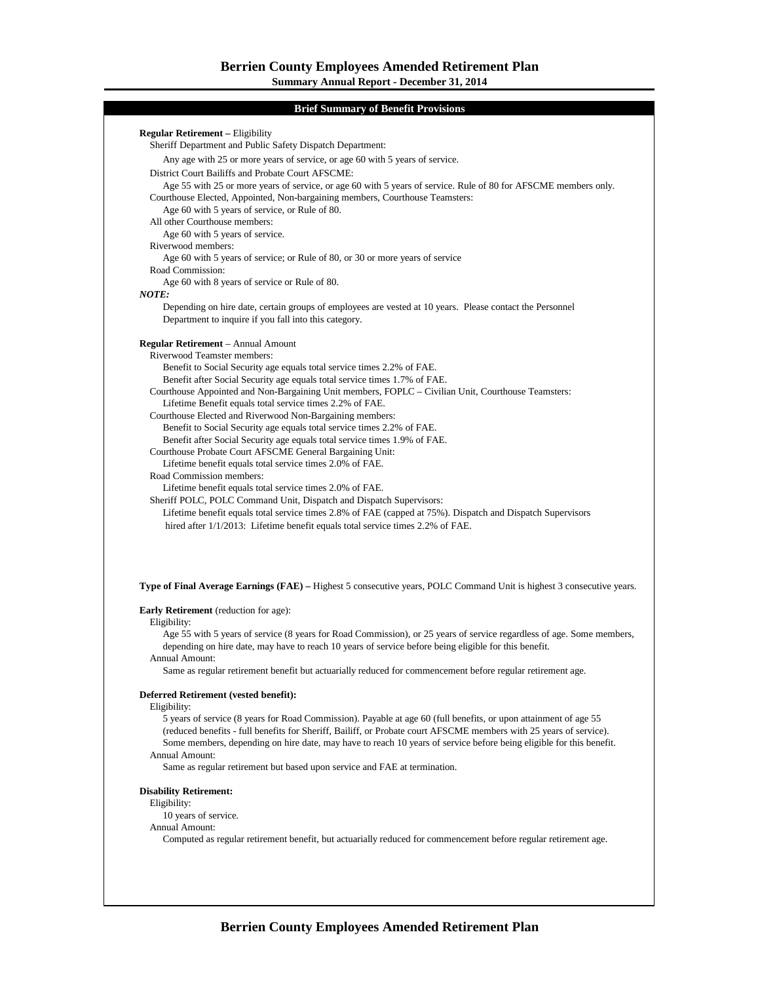# **Brief Summary of Benefit Provisions**

|                               | Sheriff Department and Public Safety Dispatch Department:                                                                                                                                                                      |
|-------------------------------|--------------------------------------------------------------------------------------------------------------------------------------------------------------------------------------------------------------------------------|
|                               | Any age with 25 or more years of service, or age 60 with 5 years of service.                                                                                                                                                   |
|                               | District Court Bailiffs and Probate Court AFSCME:<br>Age 55 with 25 or more years of service, or age 60 with 5 years of service. Rule of 80 for AFSCME members only.                                                           |
|                               | Courthouse Elected, Appointed, Non-bargaining members, Courthouse Teamsters:                                                                                                                                                   |
|                               | Age 60 with 5 years of service, or Rule of 80.                                                                                                                                                                                 |
|                               | All other Courthouse members:                                                                                                                                                                                                  |
|                               | Age 60 with 5 years of service.                                                                                                                                                                                                |
| Riverwood members:            |                                                                                                                                                                                                                                |
|                               | Age 60 with 5 years of service; or Rule of 80, or 30 or more years of service                                                                                                                                                  |
| Road Commission:              | Age 60 with 8 years of service or Rule of 80.                                                                                                                                                                                  |
| <b>NOTE:</b>                  |                                                                                                                                                                                                                                |
|                               | Depending on hire date, certain groups of employees are vested at 10 years. Please contact the Personnel                                                                                                                       |
|                               | Department to inquire if you fall into this category.                                                                                                                                                                          |
|                               | <b>Regular Retirement</b> – Annual Amount                                                                                                                                                                                      |
|                               | Riverwood Teamster members:                                                                                                                                                                                                    |
|                               | Benefit to Social Security age equals total service times 2.2% of FAE.                                                                                                                                                         |
|                               | Benefit after Social Security age equals total service times 1.7% of FAE.                                                                                                                                                      |
|                               | Courthouse Appointed and Non-Bargaining Unit members, FOPLC – Civilian Unit, Courthouse Teamsters:                                                                                                                             |
|                               | Lifetime Benefit equals total service times 2.2% of FAE.<br>Courthouse Elected and Riverwood Non-Bargaining members:                                                                                                           |
|                               | Benefit to Social Security age equals total service times 2.2% of FAE.                                                                                                                                                         |
|                               | Benefit after Social Security age equals total service times 1.9% of FAE.                                                                                                                                                      |
|                               | Courthouse Probate Court AFSCME General Bargaining Unit:                                                                                                                                                                       |
|                               | Lifetime benefit equals total service times 2.0% of FAE.                                                                                                                                                                       |
|                               | Road Commission members:                                                                                                                                                                                                       |
|                               | Lifetime benefit equals total service times 2.0% of FAE.                                                                                                                                                                       |
|                               | Sheriff POLC, POLC Command Unit, Dispatch and Dispatch Supervisors:<br>Lifetime benefit equals total service times 2.8% of FAE (capped at 75%). Dispatch and Dispatch Supervisors                                              |
|                               | hired after 1/1/2013: Lifetime benefit equals total service times 2.2% of FAE.                                                                                                                                                 |
|                               |                                                                                                                                                                                                                                |
|                               |                                                                                                                                                                                                                                |
|                               | Type of Final Average Earnings (FAE) – Highest 5 consecutive years, POLC Command Unit is highest 3 consecutive years.                                                                                                          |
|                               | <b>Early Retirement</b> (reduction for age):                                                                                                                                                                                   |
| Eligibility:                  |                                                                                                                                                                                                                                |
|                               | Age 55 with 5 years of service (8 years for Road Commission), or 25 years of service regardless of age. Some members,<br>depending on hire date, may have to reach 10 years of service before being eligible for this benefit. |
| Annual Amount:                | Same as regular retirement benefit but actuarially reduced for commencement before regular retirement age.                                                                                                                     |
|                               | Deferred Retirement (vested benefit):                                                                                                                                                                                          |
| Eligibility:                  |                                                                                                                                                                                                                                |
|                               | 5 years of service (8 years for Road Commission). Payable at age 60 (full benefits, or upon attainment of age 55                                                                                                               |
|                               | (reduced benefits - full benefits for Sheriff, Bailiff, or Probate court AFSCME members with 25 years of service).                                                                                                             |
|                               | Some members, depending on hire date, may have to reach 10 years of service before being eligible for this benefit.                                                                                                            |
| Annual Amount:                | Same as regular retirement but based upon service and FAE at termination.                                                                                                                                                      |
|                               |                                                                                                                                                                                                                                |
| <b>Disability Retirement:</b> |                                                                                                                                                                                                                                |
| Eligibility:                  | 10 years of service.                                                                                                                                                                                                           |
| Annual Amount:                |                                                                                                                                                                                                                                |